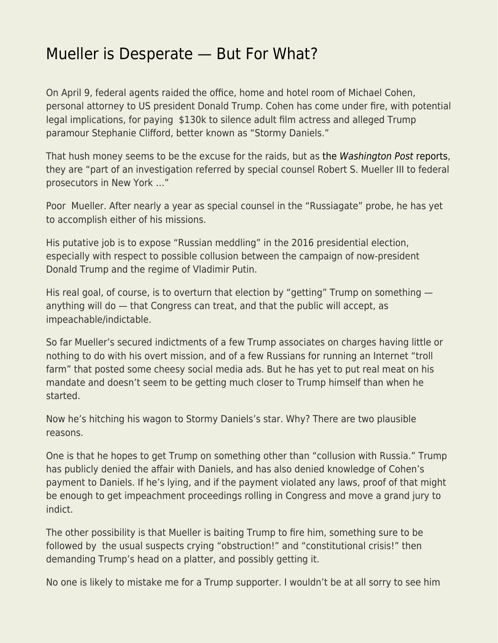## [Mueller is Desperate — But For What?](https://everything-voluntary.com/mueller-is-desperate-but-for-what)

On April 9, federal agents raided the office, home and hotel room of Michael Cohen, personal attorney to US president Donald Trump. Cohen has come under fire, with potential legal implications, for paying \$130k to silence adult film actress and alleged Trump paramour Stephanie Clifford, better known as "Stormy Daniels."

That hush money seems to be the excuse for the raids, but a[s the](https://www.washingtonpost.com/politics/fbi-seizes-records-related-to-stormy-daniels-in-raid-of-trump-attorney-michael-cohens-office/2018/04/09/e3e43cf4-3c30-11e8-974f-aacd97698cef_story.html) [Washington Post](https://www.washingtonpost.com/politics/fbi-seizes-records-related-to-stormy-daniels-in-raid-of-trump-attorney-michael-cohens-office/2018/04/09/e3e43cf4-3c30-11e8-974f-aacd97698cef_story.html) [reports,](https://www.washingtonpost.com/politics/fbi-seizes-records-related-to-stormy-daniels-in-raid-of-trump-attorney-michael-cohens-office/2018/04/09/e3e43cf4-3c30-11e8-974f-aacd97698cef_story.html) they are "part of an investigation referred by special counsel Robert S. Mueller III to federal prosecutors in New York …"

Poor Mueller. After nearly a year as special counsel in the "Russiagate" probe, he has yet to accomplish either of his missions.

His putative job is to expose "Russian meddling" in the 2016 presidential election, especially with respect to possible collusion between the campaign of now-president Donald Trump and the regime of Vladimir Putin.

His real goal, of course, is to overturn that election by "getting" Trump on something  $$ anything will do — that Congress can treat, and that the public will accept, as impeachable/indictable.

So far Mueller's secured indictments of a few Trump associates on charges having little or nothing to do with his overt mission, and of a few Russians for running an Internet "troll farm" that posted some cheesy social media ads. But he has yet to put real meat on his mandate and doesn't seem to be getting much closer to Trump himself than when he started.

Now he's hitching his wagon to Stormy Daniels's star. Why? There are two plausible reasons.

One is that he hopes to get Trump on something other than "collusion with Russia." Trump has publicly denied the affair with Daniels, and has also denied knowledge of Cohen's payment to Daniels. If he's lying, and if the payment violated any laws, proof of that might be enough to get impeachment proceedings rolling in Congress and move a grand jury to indict.

The other possibility is that Mueller is baiting Trump to fire him, something sure to be followed by the usual suspects crying "obstruction!" and "constitutional crisis!" then demanding Trump's head on a platter, and possibly getting it.

No one is likely to mistake me for a Trump supporter. I wouldn't be at all sorry to see him